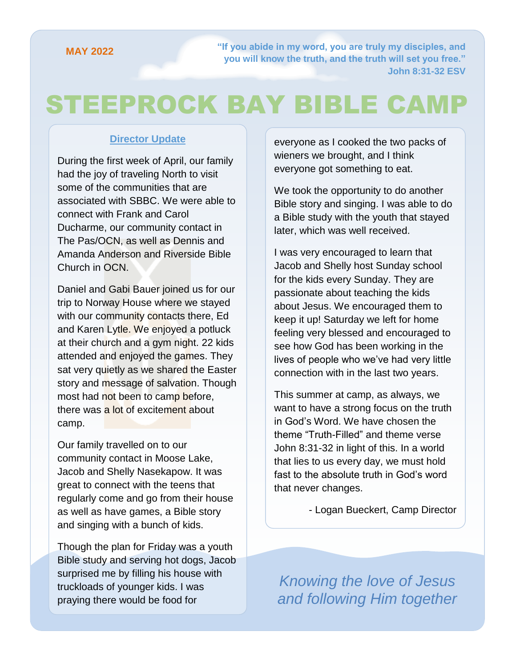**["If you abide in my word, you are truly my disciples, and](https://attachment.outlook.live.net/owa/babrahamson@mymts.net/service.svc/s/GetAttachmentThumbnail?id=AQMkADAwATMwMAItOTYzNy03OWU5LTAwAi0wMAoARgAAAziNM9N2L7ZHj3UzkGlxZT4HADs%2BxeWW398AToarRDhoYRQuAAACAQ8AAADyWj1tZ4piR57gYxshuowtAAIM17wLAAAAARIAEACu0uWWjNymRIGUZy6IaWP6&thumbnailType=2&owa=outlook.live.com&scriptVer=2019081802.10&isc=1&X-OWA-CANARY=9eEvL0U8_Emj3b20LgV7oHAYdLyyLNcYDeHfE4yJtIa4bSeUSCh5jKYPfE-d5S5e9uqqTwkZn-0.&token=eyJhbGciOiJSUzI1NiIsImtpZCI6IjA2MDBGOUY2NzQ2MjA3MzdFNzM0MDRFMjg3QzQ1QTgxOENCN0NFQjgiLCJ4NXQiOiJCZ0Q1OW5SaUJ6Zm5OQVRpaDhSYWdZeTN6cmciLCJ0eXAiOiJKV1QifQ.eyJvcmlnaW4iOiJodHRwczovL291dGxvb2subGl2ZS5jb20iLCJ2ZXIiOiJFeGNoYW5nZS5DYWxsYmFjay5WMSIsImFwcGN0eHNlbmRlciI6Ik93YURvd25sb2FkQDg0ZGY5ZTdmLWU5ZjYtNDBhZi1iNDM1LWFhYWFhYWFhYWFhYSIsImFwcGN0eCI6IntcIm1zZXhjaHByb3RcIjpcIm93YVwiLFwicHJpbWFyeXNpZFwiOlwiUy0xLTI4MjctMTk2NjA4LTI1MjAyMTgwODlcIixcInB1aWRcIjpcIjg0NDQyNzQ1MDM1MDA1N1wiLFwib2lkXCI6XCIwMDAzMDAwMC05NjM3LTc5ZTktMDAwMC0wMDAwMDAwMDAwMDBcIixcInNjb3BlXCI6XCJPd2FEb3dubG9hZFwifSIsIm5iZiI6MTU2NzEwNDc4MSwiZXhwIjoxNTY3MTA1MzgxLCJpc3MiOiIwMDAwMDAwMi0wMDAwLTBmZjEtY2UwMC0wMDAwMDAwMDAwMDBAODRkZjllN2YtZTlmNi00MGFmLWI0MzUtYWFhYWFhYWFhYWFhIiwiYXVkIjoiMDAwMDAwMDItMDAwMC0wZmYxLWNlMDAtMDAwMDAwMDAwMDAwL2F0dGFjaG1lbnQub3V0bG9vay5saXZlLm5ldEA4NGRmOWU3Zi1lOWY2LTQwYWYtYjQzNS1hYWFhYWFhYWFhYWEifQ.fXq2H_jpuLAZAqTydeaRpapUiJho6SVXEOWYsaEFgmIWZySBwRk2sl6dLqTZ-MgYfDrMPhJu0PFMd6yYrc0cjv0JQzTTALqsTVUyTLSVQP0FVZpv_l1l_mEacv-e4qc3iSNSQ6y9L92cDxUEu8OaVB99Lga-cJKvgv57p3cwpNE35YVu8GeD0WKy9eKve6x6xgNaSNZTsiAPiX9XTk6iJl3Kfe1BM4lGYO5eL_7ShNszQ7UAjMIMdRSR2iYmxrf3reurvYxkWfvf6nDuluQ0c5S27Q2ZZQ_1QmEABrdG-kzKhOd7xexImI8LAIdfNKJ84yRfNecKLweOdH06tBUEPQ&animation=true)  you will know the truth, and the truth will set you free." John 8:31-32 ESV**

# STEEPROCK BAY BIBLE CAMP

#### **Director Update**

During the first week of April, our family had the joy of traveling North to visit some of the communities that are associated with SBBC. We were able to connect with Frank and Carol Ducharme, our community contact in The Pas/OCN, as well as Dennis and Amanda Anderson and Riverside Bible Church in OCN.

Daniel and Gabi Bauer joined us for our trip to Norway House where we stayed with our community contacts there, Ed and Karen Lytle. We enjoyed a potluck at their church and a gym night. 22 kids attended and enjoyed the games. They sat very quietly as we shared the Easter story and message of salvation. Though most had not been to camp before, there was a lot of excitement about camp.

Our family travelled on to our community contact in Moose Lake, Jacob and Shelly Nasekapow. It was great to connect with the teens that regularly come and go from their house as well as have games, a Bible story and singing with a bunch of kids.

Though the plan for Friday was a youth Bible study and serving hot dogs, Jacob surprised me by filling his house with truckloads of younger kids. I was praying there would be food for

everyone as I cooked the two packs of wieners we brought, and I think everyone got something to eat.

We took the opportunity to do another Bible story and singing. I was able to do a Bible study with the youth that stayed later, which was well received.

I was very encouraged to learn that Jacob and Shelly host Sunday school for the kids every Sunday. They are passionate about teaching the kids about Jesus. We encouraged them to keep it up! Saturday we left for home feeling very blessed and encouraged to see how God has been working in the lives of people who we've had very little connection with in the last two years.

This summer at camp, as always, we want to have a strong focus on the truth in God's Word. We have chosen the theme "Truth-Filled" and theme verse John 8:31-32 in light of this. In a world that lies to us every day, we must hold fast to the absolute truth in God's word that never changes.

- Logan Bueckert, Camp Director

*Knowing the love of Jesus and following Him together*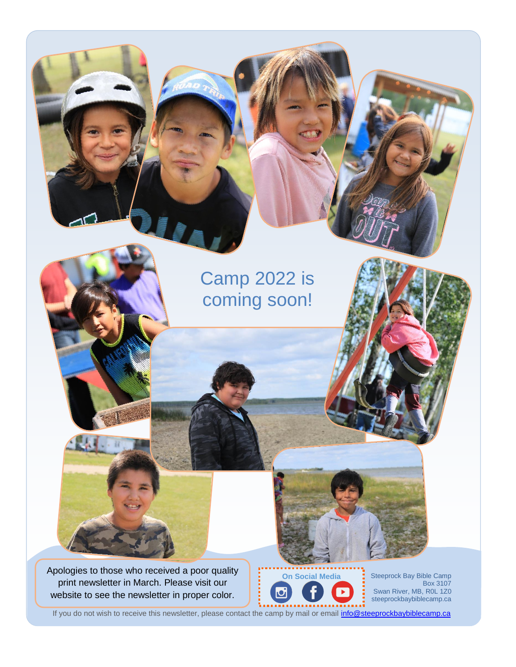### Camp 2022 is coming soon!

Apologies to those who received a poor quality print newsletter in March. Please visit our website to see the newsletter in proper color.

**ALC** II

**On Social Media**

Steeprock Bay Bible Camp Box 3107 Swan River, MB, R0L 1Z0 steeprockbaybiblecamp.ca

If you do not wish to receive this newsletter, please contact the camp by mail or email *info@steeprockbaybiblecamp.ca*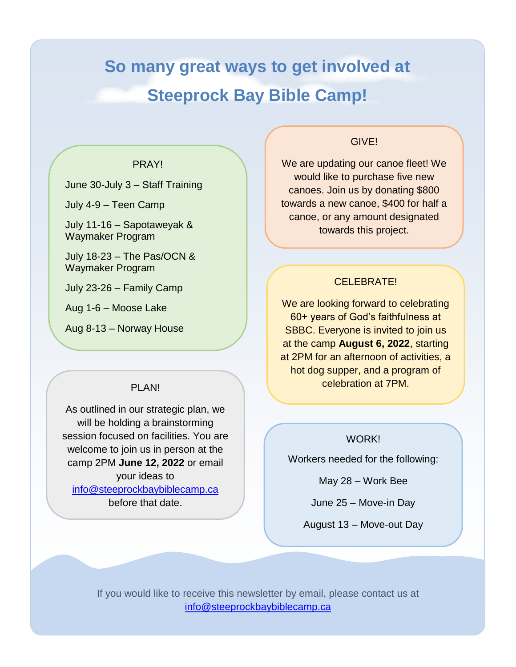## **So many great ways to get involved at Steeprock Bay Bible Camp!**

#### PRAY!

June 30-July 3 – Staff Training

July 4-9 – Teen Camp

July 11-16 – Sapotaweyak & Waymaker Program

July 18-23 – The Pas/OCN & Waymaker Program

July 23-26 – Family Camp

Aug 1-6 – Moose Lake

Aug 8-13 – Norway House

#### PI AN!

As outlined in our strategic plan, we will be holding a brainstorming session focused on facilities. You are welcome to join us in person at the camp 2PM **June 12, 2022** or email your ideas to [info@steeprockbaybiblecamp.ca](mailto:info@steeprockbaybiblecamp.ca)

before that date.

#### GIVE!

We are updating our canoe fleet! We would like to purchase five new canoes. Join us by donating \$800 towards a new canoe, \$400 for half a canoe, or any amount designated towards this project.

#### CELEBRATE!

We are looking forward to celebrating 60+ years of God's faithfulness at SBBC. Everyone is invited to join us at the camp **August 6, 2022**, starting at 2PM for an afternoon of activities, a hot dog supper, and a program of celebration at 7PM.

#### WORK!

Workers needed for the following:

May 28 – Work Bee

June 25 – Move-in Day

August 13 – Move-out Day

.

If you would like to receive this newsletter by email, please contact us at [info@steeprockbaybiblecamp.ca](mailto:info@steeprockbaybiblecamp.ca)